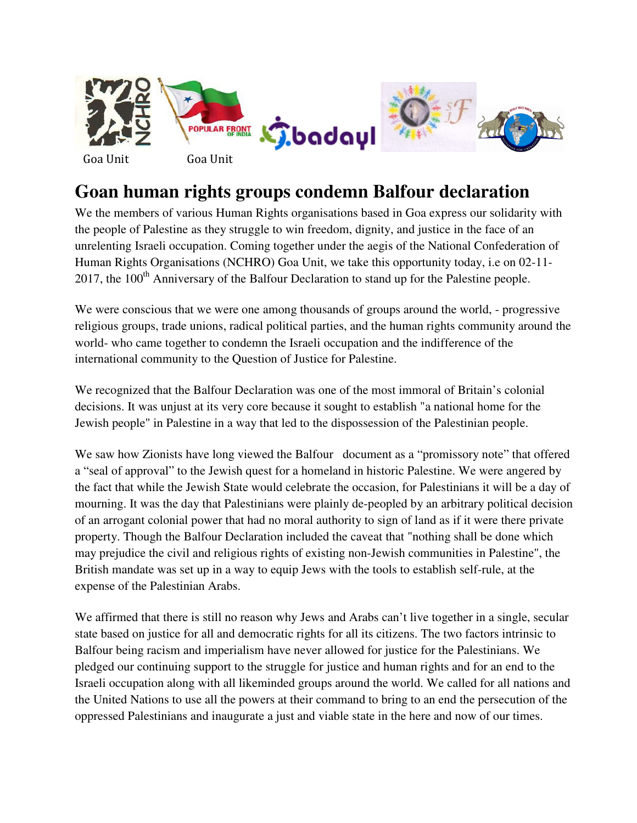

## **Goan human rights groups condemn Balfour declaration**

We the members of various Human Rights organisations based in Goa express our solidarity with the people of Palestine as they struggle to win freedom, dignity, and justice in the face of an unrelenting Israeli occupation. Coming together under the aegis of the National Confederation of Human Rights Organisations (NCHRO) Goa Unit, we take this opportunity today, i.e on 02-11- 2017, the 100<sup>th</sup> Anniversary of the Balfour Declaration to stand up for the Palestine people.

We were conscious that we were one among thousands of groups around the world, - progressive religious groups, trade unions, radical political parties, and the human rights community around the world- who came together to condemn the Israeli occupation and the indifference of the international community to the Question of Justice for Palestine.

We recognized that the Balfour Declaration was one of the most immoral of Britain's colonial decisions. It was unjust at its very core because it sought to establish "a national home for the Jewish people" in Palestine in a way that led to the dispossession of the Palestinian people.

We saw how Zionists have long viewed the Balfour document as a "promissory note" that offered a "seal of approval" to the Jewish quest for a homeland in historic Palestine. We were angered by the fact that while the Jewish State would celebrate the occasion, for Palestinians it will be a day of mourning. It was the day that Palestinians were plainly de-peopled by an arbitrary political decision of an arrogant colonial power that had no moral authority to sign of land as if it were there private property. Though the Balfour Declaration included the caveat that "nothing shall be done which may prejudice the civil and religious rights of existing non-Jewish communities in Palestine", the British mandate was set up in a way to equip Jews with the tools to establish self-rule, at the expense of the Palestinian Arabs.

We affirmed that there is still no reason why Jews and Arabs can't live together in a single, secular state based on justice for all and democratic rights for all its citizens. The two factors intrinsic to Balfour being racism and imperialism have never allowed for justice for the Palestinians. We pledged our continuing support to the struggle for justice and human rights and for an end to the Israeli occupation along with all likeminded groups around the world. We called for all nations and the United Nations to use all the powers at their command to bring to an end the persecution of the oppressed Palestinians and inaugurate a just and viable state in the here and now of our times.